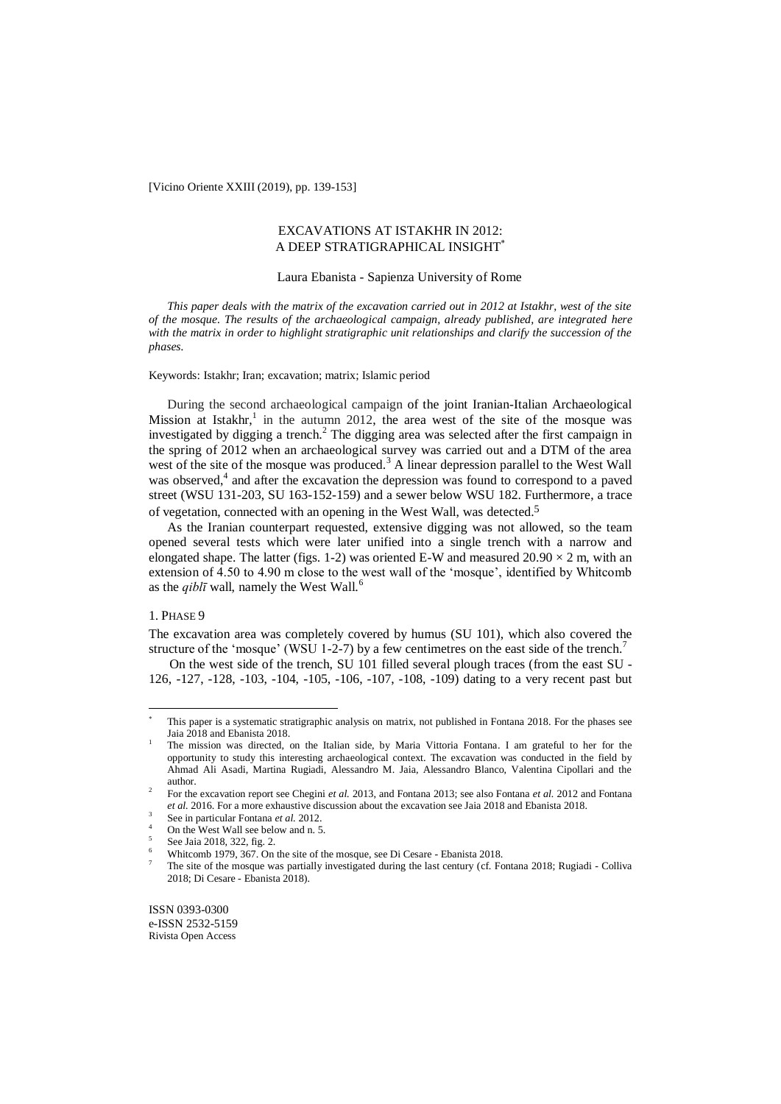[Vicino Oriente XXIII (2019), pp. 139-153]

### EXCAVATIONS AT ISTAKHR IN 2012: A DEEP STRATIGRAPHICAL INSIGHT

### Laura Ebanista - Sapienza University of Rome

*This paper deals with the matrix of the excavation carried out in 2012 at Istakhr, west of the site of the mosque. The results of the archaeological campaign, already published, are integrated here with the matrix in order to highlight stratigraphic unit relationships and clarify the succession of the phases.*

### Keywords: Istakhr; Iran; excavation; matrix; Islamic period

During the second archaeological campaign of the joint Iranian-Italian Archaeological Mission at Istakhr,<sup>1</sup> in the autumn 2012, the area west of the site of the mosque was investigated by digging a trench.<sup>2</sup> The digging area was selected after the first campaign in the spring of 2012 when an archaeological survey was carried out and a DTM of the area west of the site of the mosque was produced.<sup>3</sup> A linear depression parallel to the West Wall was observed,<sup>4</sup> and after the excavation the depression was found to correspond to a paved street (WSU 131-203, SU 163-152-159) and a sewer below WSU 182. Furthermore, a trace of vegetation, connected with an opening in the West Wall, was detected. 5

As the Iranian counterpart requested, extensive digging was not allowed, so the team opened several tests which were later unified into a single trench with a narrow and elongated shape. The latter (figs. 1-2) was oriented E-W and measured  $20.90 \times 2$  m, with an extension of 4.50 to 4.90 m close to the west wall of the 'mosque', identified by Whitcomb as the  $qibl\bar{\imath}$  wall, namely the West Wall.<sup>6</sup>

### 1. PHASE 9

 $\overline{a}$ 

The excavation area was completely covered by humus (SU 101), which also covered the structure of the 'mosque' (WSU 1-2-7) by a few centimetres on the east side of the trench.<sup>7</sup>

On the west side of the trench, SU 101 filled several plough traces (from the east SU - 126, -127, -128, -103, -104, -105, -106, -107, -108, -109) dating to a very recent past but

This paper is a systematic stratigraphic analysis on matrix, not published in Fontana 2018. For the phases see Jaia 2018 and Ebanista 2018.

<sup>1</sup> The mission was directed, on the Italian side, by Maria Vittoria Fontana. I am grateful to her for the opportunity to study this interesting archaeological context. The excavation was conducted in the field by Ahmad Ali Asadi, Martina Rugiadi, Alessandro M. Jaia, Alessandro Blanco, Valentina Cipollari and the author.

 $\overline{2}$ For the excavation report see Chegini *et al.* 2013, and Fontana 2013; see also Fontana *et al.* 2012 and Fontana *et al.* 2016. For a more exhaustive discussion about the excavation see Jaia 2018 and Ebanista 2018.

<sup>3</sup> See in particular Fontana *et al.* 2012.

<sup>4</sup> On the West Wall see below and n. 5.

<sup>5</sup> See Jaia 2018, 322, fig. 2.

<sup>6</sup> Whitcomb 1979, 367. On the site of the mosque, see Di Cesare - Ebanista 2018.

<sup>7</sup> The site of the mosque was partially investigated during the last century (cf. Fontana 2018; Rugiadi - Colliva 2018; Di Cesare - Ebanista 2018).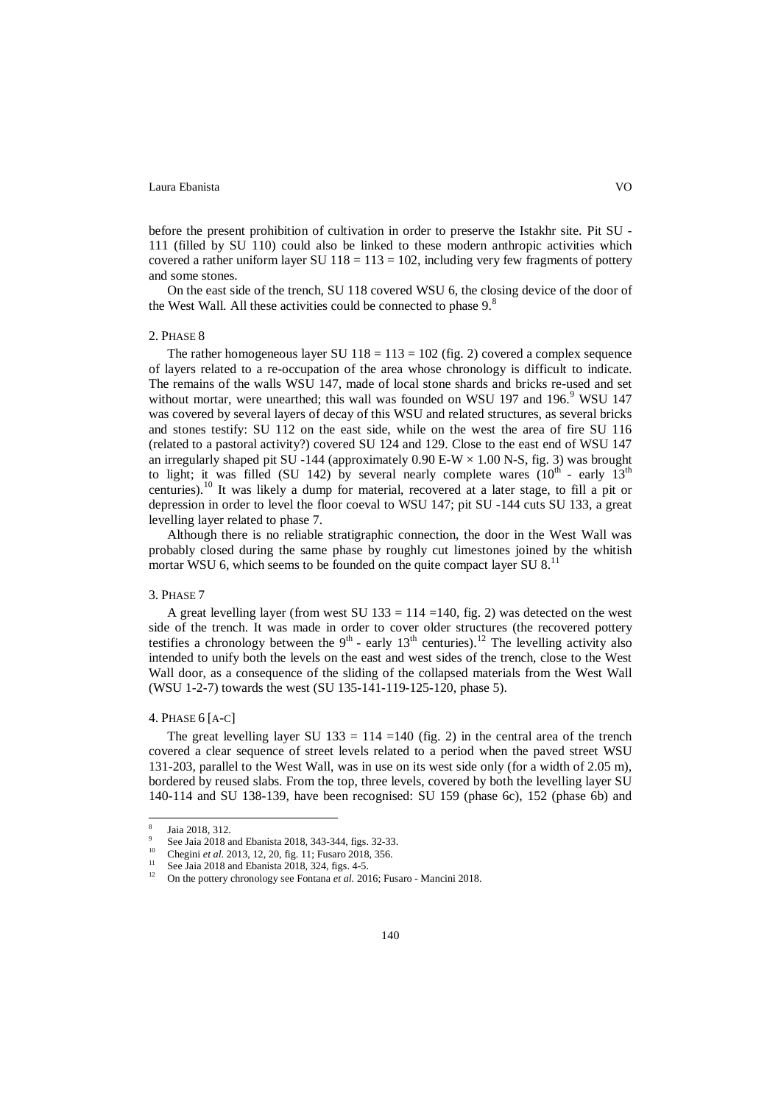before the present prohibition of cultivation in order to preserve the Istakhr site. Pit SU - 111 (filled by SU 110) could also be linked to these modern anthropic activities which covered a rather uniform layer SU  $118 = 113 = 102$ , including very few fragments of pottery and some stones.

On the east side of the trench, SU 118 covered WSU 6, the closing device of the door of the West Wall. All these activities could be connected to phase 9.<sup>8</sup>

### 2. PHASE 8

The rather homogeneous layer SU  $118 = 113 = 102$  (fig. 2) covered a complex sequence of layers related to a re-occupation of the area whose chronology is difficult to indicate. The remains of the walls WSU 147, made of local stone shards and bricks re-used and set without mortar, were unearthed; this wall was founded on WSU 197 and 196.<sup>9</sup> WSU 147 was covered by several layers of decay of this WSU and related structures, as several bricks and stones testify: SU 112 on the east side, while on the west the area of fire SU 116 (related to a pastoral activity?) covered SU 124 and 129. Close to the east end of WSU 147 an irregularly shaped pit SU -144 (approximately  $0.90 E-W \times 1.00 N-S$ , fig. 3) was brought to light; it was filled (SU 142) by several nearly complete wares  $(10<sup>th</sup> - early 13<sup>th</sup>)$ centuries).<sup>10</sup> It was likely a dump for material, recovered at a later stage, to fill a pit or depression in order to level the floor coeval to WSU 147; pit SU -144 cuts SU 133, a great levelling layer related to phase 7.

Although there is no reliable stratigraphic connection, the door in the West Wall was probably closed during the same phase by roughly cut limestones joined by the whitish mortar WSU 6, which seems to be founded on the quite compact layer SU  $8$ .<sup>11</sup>

### 3. PHASE 7

A great levelling layer (from west SU 133 = 114 = 140, fig. 2) was detected on the west side of the trench. It was made in order to cover older structures (the recovered pottery testifies a chronology between the  $9<sup>th</sup>$  - early 13<sup>th</sup> centuries).<sup>12</sup> The levelling activity also intended to unify both the levels on the east and west sides of the trench, close to the West Wall door, as a consequence of the sliding of the collapsed materials from the West Wall (WSU 1-2-7) towards the west (SU 135-141-119-125-120, phase 5).

### 4. PHASE 6 [A-C]

The great levelling layer SU  $133 = 114 = 140$  (fig. 2) in the central area of the trench covered a clear sequence of street levels related to a period when the paved street WSU 131-203, parallel to the West Wall, was in use on its west side only (for a width of 2.05 m), bordered by reused slabs. From the top, three levels, covered by both the levelling layer SU 140-114 and SU 138-139, have been recognised: SU 159 (phase 6c), 152 (phase 6b) and

 $\frac{1}{8}$ Jaia 2018, 312.  $\alpha$ 

See Jaia 2018 and Ebanista 2018, 343-344, figs. 32-33.

<sup>10</sup> Chegini *et al.* 2013, 12, 20, fig. 11; Fusaro 2018, 356.

<sup>&</sup>lt;sup>11</sup> See Jaia 2018 and Ebanista 2018, 324, figs. 4-5.<br><sup>12</sup> On the nettern shape shape so Fortune 14rd 200

<sup>12</sup> On the pottery chronology see Fontana *et al.* 2016; Fusaro - Mancini 2018.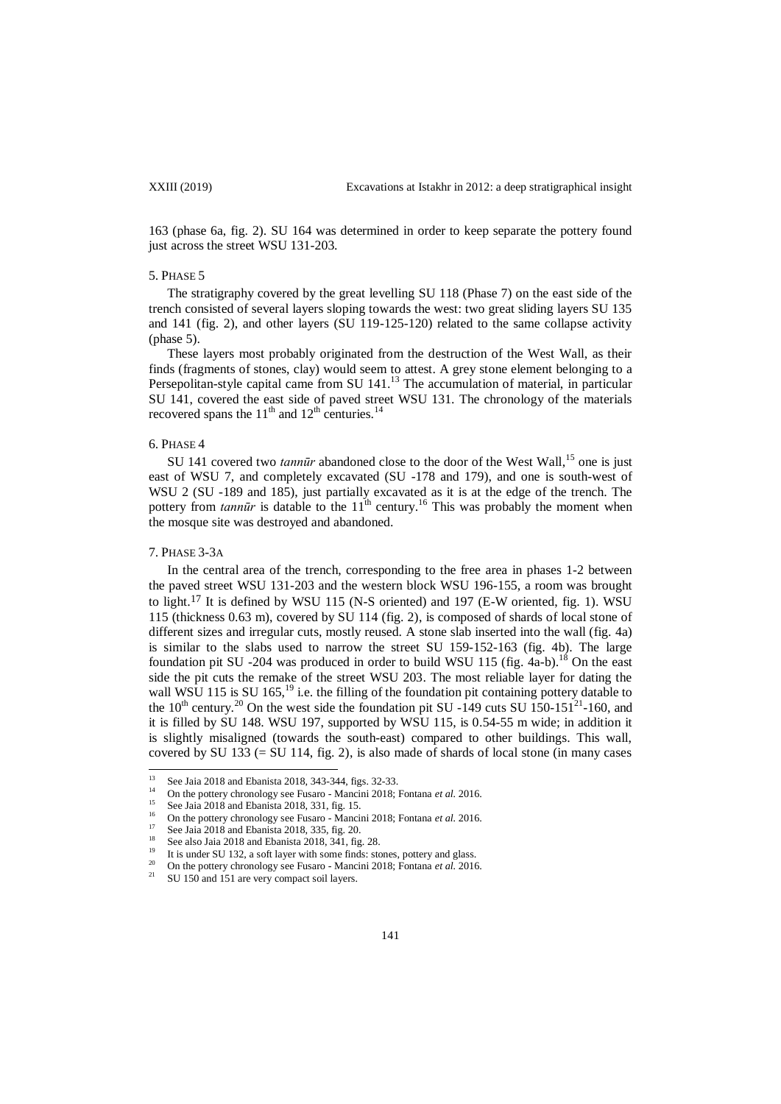163 (phase 6a, fig. 2). SU 164 was determined in order to keep separate the pottery found just across the street WSU 131-203.

### 5. PHASE 5

The stratigraphy covered by the great levelling SU 118 (Phase 7) on the east side of the trench consisted of several layers sloping towards the west: two great sliding layers SU 135 and 141 (fig. 2), and other layers (SU 119-125-120) related to the same collapse activity (phase 5).

These layers most probably originated from the destruction of the West Wall, as their finds (fragments of stones, clay) would seem to attest. A grey stone element belonging to a Persepolitan-style capital came from SU 141.<sup>13</sup> The accumulation of material, in particular SU 141, covered the east side of paved street WSU 131. The chronology of the materials recovered spans the  $11<sup>th</sup>$  and  $12<sup>th</sup>$  centuries.<sup>14</sup>

### 6. PHASE 4

SU 141 covered two *tannūr* abandoned close to the door of the West Wall,<sup>15</sup> one is just east of WSU 7, and completely excavated (SU -178 and 179), and one is south-west of WSU 2 (SU -189 and 185), just partially excavated as it is at the edge of the trench. The pottery from  $tann\bar{u}r$  is datable to the  $11^{th}$  century.<sup>16</sup> This was probably the moment when the mosque site was destroyed and abandoned.

### 7. PHASE 3-3A

In the central area of the trench, corresponding to the free area in phases 1-2 between the paved street WSU 131-203 and the western block WSU 196-155, a room was brought to light.<sup>17</sup> It is defined by WSU 115 (N-S oriented) and 197 (E-W oriented, fig. 1). WSU 115 (thickness 0.63 m), covered by SU 114 (fig. 2), is composed of shards of local stone of different sizes and irregular cuts, mostly reused. A stone slab inserted into the wall (fig. 4a) is similar to the slabs used to narrow the street SU 159-152-163 (fig. 4b). The large foundation pit SU -204 was produced in order to build WSU 115 (fig.  $4a-b$ ).<sup>18</sup> On the east side the pit cuts the remake of the street WSU 203. The most reliable layer for dating the wall WSU 115 is SU 165,<sup>19</sup> i.e. the filling of the foundation pit containing pottery datable to the  $10^{th}$  century.<sup>20</sup> On the west side the foundation pit SU -149 cuts SU 150-151<sup>21</sup>-160, and it is filled by SU 148. WSU 197, supported by WSU 115, is 0.54-55 m wide; in addition it is slightly misaligned (towards the south-east) compared to other buildings. This wall, covered by SU  $133$  (= SU  $114$ , fig. 2), is also made of shards of local stone (in many cases

 $\overline{13}$ <sup>13</sup> See Jaia 2018 and Ebanista 2018, 343-344, figs. 32-33.

<sup>&</sup>lt;sup>14</sup> On the pottery chronology see Fusaro - Mancini 2018; Fontana *et al.* 2016.

<sup>&</sup>lt;sup>15</sup> See Jaia 2018 and Ebanista 2018, 331, fig. 15.

<sup>&</sup>lt;sup>16</sup> On the pottery chronology see Fusaro - Mancini 2018; Fontana *et al.* 2016.

<sup>&</sup>lt;sup>17</sup> See Jaia 2018 and Ebanista 2018, 335, fig. 20.

<sup>&</sup>lt;sup>18</sup> See also Jaia 2018 and Ebanista 2018,  $341$ , fig. 28.

It is under SU 132, a soft layer with some finds: stones, pottery and glass.

<sup>&</sup>lt;sup>20</sup> On the pottery chronology see Fusaro - Mancini 2018; Fontana *et al.* 2016.

SU 150 and 151 are very compact soil layers.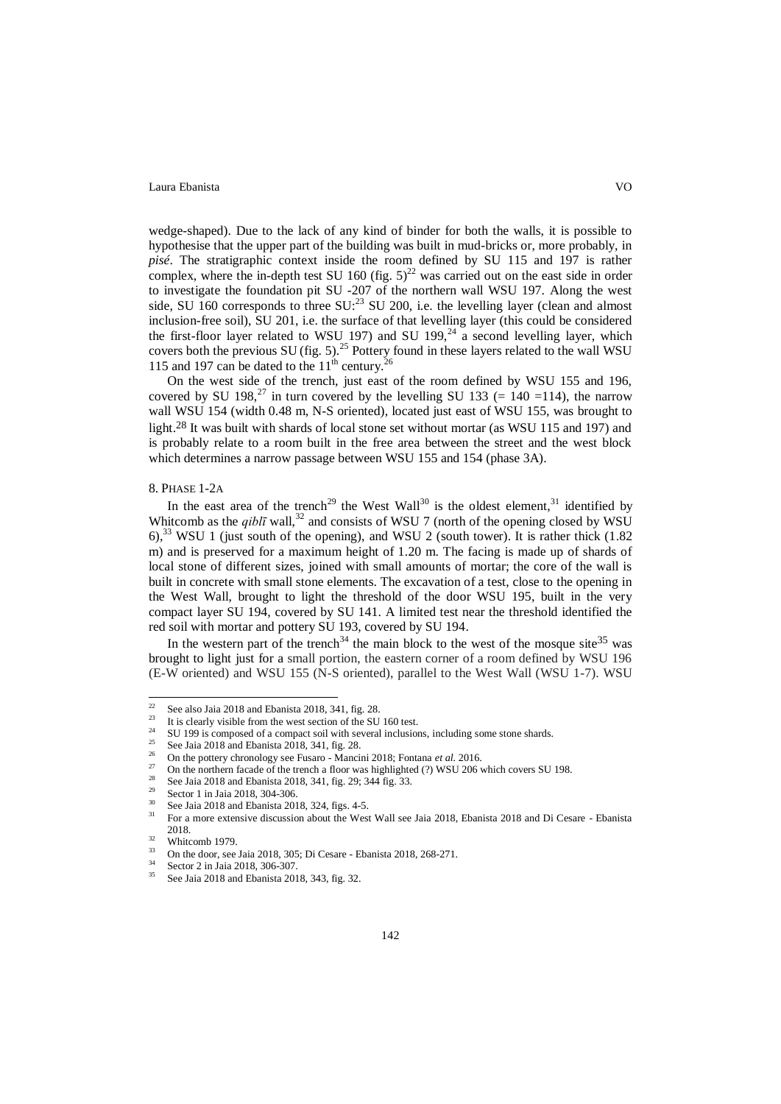wedge-shaped). Due to the lack of any kind of binder for both the walls, it is possible to hypothesise that the upper part of the building was built in mud-bricks or, more probably, in *pisé*. The stratigraphic context inside the room defined by SU 115 and 197 is rather complex, where the in-depth test SU 160 (fig.  $5)^{22}$  was carried out on the east side in order to investigate the foundation pit SU -207 of the northern wall WSU 197. Along the west side, SU 160 corresponds to three SU:<sup>23</sup> SU 200, i.e. the levelling layer (clean and almost inclusion-free soil), SU 201, i.e. the surface of that levelling layer (this could be considered the first-floor layer related to WSU 197) and SU 199,<sup>24</sup> a second levelling layer, which covers both the previous SU (fig. 5).<sup>25</sup> Pottery found in these layers related to the wall WSU 115 and 197 can be dated to the  $11<sup>th</sup>$  century.<sup>26</sup>

On the west side of the trench, just east of the room defined by WSU 155 and 196, covered by SU 198,<sup>27</sup> in turn covered by the levelling SU 133 (= 140 =114), the narrow wall WSU 154 (width 0.48 m, N-S oriented), located just east of WSU 155, was brought to light.<sup>28</sup> It was built with shards of local stone set without mortar (as WSU 115 and 197) and is probably relate to a room built in the free area between the street and the west block which determines a narrow passage between WSU 155 and 154 (phase 3A).

### 8. PHASE 1-2A

In the east area of the trench<sup>29</sup> the West Wall<sup>30</sup> is the oldest element, <sup>31</sup> identified by Whitcomb as the  $qibl\bar{\textit{i}}$  wall,<sup>32</sup> and consists of WSU 7 (north of the opening closed by WSU 6),<sup>33</sup> WSU 1 (just south of the opening), and WSU 2 (south tower). It is rather thick  $(1.82)$ m) and is preserved for a maximum height of 1.20 m. The facing is made up of shards of local stone of different sizes, joined with small amounts of mortar; the core of the wall is built in concrete with small stone elements. The excavation of a test, close to the opening in the West Wall, brought to light the threshold of the door WSU 195, built in the very compact layer SU 194, covered by SU 141. A limited test near the threshold identified the red soil with mortar and pottery SU 193, covered by SU 194.

In the western part of the trench<sup>34</sup> the main block to the west of the mosque site<sup>35</sup> was brought to light just for a small portion, the eastern corner of a room defined by WSU 196 (E-W oriented) and WSU 155 (N-S oriented), parallel to the West Wall (WSU 1-7). WSU

 $22$ <sup>22</sup> See also Jaia 2018 and Ebanista 2018, 341, fig. 28.

<sup>&</sup>lt;sup>23</sup> It is clearly visible from the west section of the SU 160 test.

<sup>&</sup>lt;sup>24</sup> SU 199 is composed of a compact soil with several inclusions, including some stone shards.

<sup>&</sup>lt;sup>25</sup> See Jaia 2018 and Ebanista 2018, 341, fig. 28.

<sup>26</sup> On the pottery chronology see Fusaro - Mancini 2018; Fontana *et al.* 2016.

<sup>&</sup>lt;sup>27</sup> On the northern facade of the trench a floor was highlighted (?) WSU 206 which covers SU 198.

See Jaia 2018 and Ebanista 2018, 341, fig. 29; 344 fig. 33.

<sup>&</sup>lt;sup>29</sup> Sector 1 in Jaia 2018, 304-306.

 $30\degree$  See Jaia 2018 and Ebanista 2018, 324, figs. 4-5.

<sup>31</sup> For a more extensive discussion about the West Wall see Jaia 2018, Ebanista 2018 and Di Cesare - Ebanista 2018.

 $rac{32}{33}$  Whitcomb 1979.

<sup>&</sup>lt;sup>33</sup> On the door, see Jaia 2018, 305; Di Cesare - Ebanista 2018, 268-271.

 $34$  Sector 2 in Jaia 2018, 306-307.

See Jaia 2018 and Ebanista 2018, 343, fig. 32.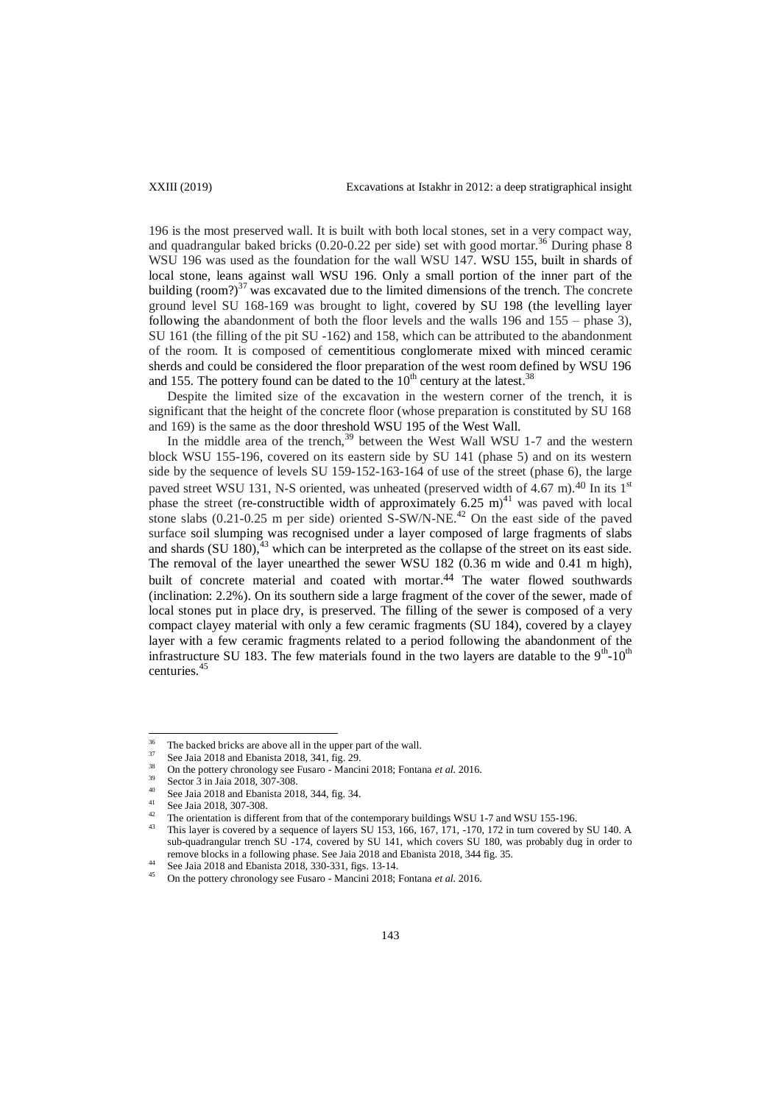196 is the most preserved wall. It is built with both local stones, set in a very compact way, and quadrangular baked bricks (0.20-0.22 per side) set with good mortar.<sup>36</sup> During phase 8 WSU 196 was used as the foundation for the wall WSU 147. WSU 155, built in shards of local stone, leans against wall WSU 196. Only a small portion of the inner part of the building (room?)<sup>37</sup> was excavated due to the limited dimensions of the trench. The concrete ground level SU 168-169 was brought to light, covered by SU 198 (the levelling layer following the abandonment of both the floor levels and the walls 196 and 155 – phase 3), SU 161 (the filling of the pit SU -162) and 158, which can be attributed to the abandonment of the room. It is composed of cementitious conglomerate mixed with minced ceramic sherds and could be considered the floor preparation of the west room defined by WSU 196 and 155. The pottery found can be dated to the  $10<sup>th</sup>$  century at the latest.<sup>38</sup>

Despite the limited size of the excavation in the western corner of the trench, it is significant that the height of the concrete floor (whose preparation is constituted by SU 168 and 169) is the same as the door threshold WSU 195 of the West Wall.

In the middle area of the trench,<sup>39</sup> between the West Wall WSU 1-7 and the western block WSU 155-196, covered on its eastern side by SU 141 (phase 5) and on its western side by the sequence of levels SU 159-152-163-164 of use of the street (phase 6), the large paved street WSU 131, N-S oriented, was unheated (preserved width of 4.67 m).<sup>40</sup> In its 1<sup>st</sup> phase the street (re-constructible width of approximately 6.25 m)<sup>41</sup> was paved with local stone slabs  $(0.21-0.25 \text{ m per side})$  oriented S-SW/N-NE.<sup>42</sup> On the east side of the paved surface soil slumping was recognised under a layer composed of large fragments of slabs and shards  $(SU 180)$ ,  $43$  which can be interpreted as the collapse of the street on its east side. The removal of the layer unearthed the sewer WSU 182 (0.36 m wide and 0.41 m high), built of concrete material and coated with mortar. 44 The water flowed southwards (inclination: 2.2%). On its southern side a large fragment of the cover of the sewer, made of local stones put in place dry, is preserved. The filling of the sewer is composed of a very compact clayey material with only a few ceramic fragments (SU 184), covered by a clayey layer with a few ceramic fragments related to a period following the abandonment of the infrastructure SU 183. The few materials found in the two layers are datable to the  $9<sup>th</sup>$ -10<sup>th</sup> centuries.<sup>45</sup>

 $36$ <sup>36</sup> The backed bricks are above all in the upper part of the wall.

 $\frac{37}{38}$  See Jaia 2018 and Ebanista 2018, 341, fig. 29.

<sup>&</sup>lt;sup>38</sup> On the pottery chronology see Fusaro - Mancini 2018; Fontana *et al.* 2016.

<sup>&</sup>lt;sup>39</sup> Sector 3 in Jaia 2018, 307-308. <sup>40</sup> See Jaia 2018 and Ebanista 2018, 344, fig. 34.

<sup>&</sup>lt;sup>41</sup> See Jaia 2018, 307-308.

<sup>&</sup>lt;sup>42</sup> The orientation is different from that of the contemporary buildings WSU 1-7 and WSU 155-196.

This layer is covered by a sequence of layers SU 153, 166, 167, 171, -170, 172 in turn covered by SU 140. A sub-quadrangular trench SU -174, covered by SU 141, which covers SU 180, was probably dug in order to remove blocks in a following phase. See Jaia 2018 and Ebanista 2018, 344 fig. 35.

<sup>44</sup> See Jaia 2018 and Ebanista 2018, 330-331, figs. 13-14.

<sup>45</sup> On the pottery chronology see Fusaro - Mancini 2018; Fontana *et al.* 2016.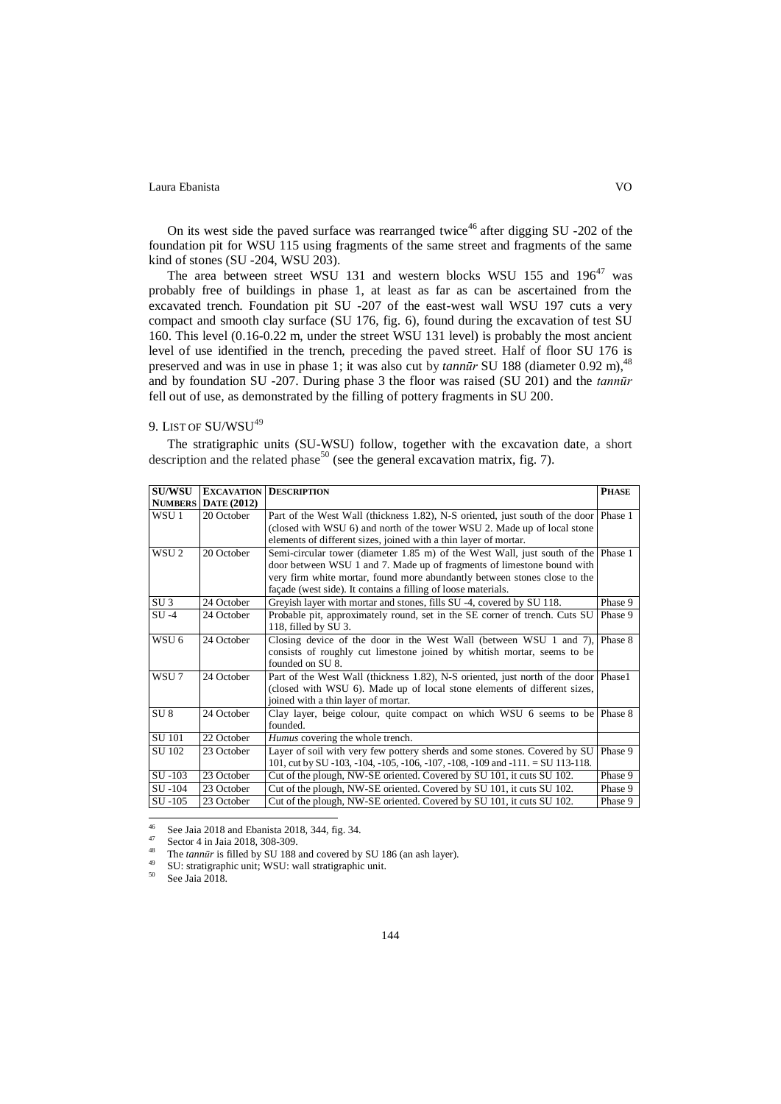On its west side the paved surface was rearranged twice<sup>46</sup> after digging SU -202 of the foundation pit for WSU 115 using fragments of the same street and fragments of the same kind of stones (SU -204, WSU 203).

The area between street WSU 131 and western blocks WSU 155 and  $196^{47}$  was probably free of buildings in phase 1, at least as far as can be ascertained from the excavated trench. Foundation pit SU -207 of the east-west wall WSU 197 cuts a very compact and smooth clay surface (SU 176, fig. 6), found during the excavation of test SU 160. This level (0.16-0.22 m, under the street WSU 131 level) is probably the most ancient level of use identified in the trench, preceding the paved street. Half of floor SU 176 is preserved and was in use in phase 1; it was also cut by *tannūr* SU 188 (diameter 0.92 m),<sup>48</sup> and by foundation SU -207. During phase 3 the floor was raised (SU 201) and the *tannūr*  fell out of use, as demonstrated by the filling of pottery fragments in SU 200.

## 9. LIST OF SU/WSU<sup>49</sup>

The stratigraphic units (SU-WSU) follow, together with the excavation date, a short description and the related phase<sup>50</sup> (see the general excavation matrix, fig. 7).

| <b>SU/WSU</b>    |                            | <b>EXCAVATION DESCRIPTION</b>                                                       | <b>PHASE</b> |
|------------------|----------------------------|-------------------------------------------------------------------------------------|--------------|
|                  | <b>NUMBERS</b> DATE (2012) |                                                                                     |              |
| WSU <sub>1</sub> | 20 October                 | Part of the West Wall (thickness 1.82), N-S oriented, just south of the door        | Phase 1      |
|                  |                            | (closed with WSU 6) and north of the tower WSU 2. Made up of local stone            |              |
|                  |                            | elements of different sizes, joined with a thin layer of mortar.                    |              |
| WSU <sub>2</sub> | 20 October                 | Semi-circular tower (diameter 1.85 m) of the West Wall, just south of the Phase 1   |              |
|                  |                            | door between WSU 1 and 7. Made up of fragments of limestone bound with              |              |
|                  |                            | very firm white mortar, found more abundantly between stones close to the           |              |
|                  |                            | façade (west side). It contains a filling of loose materials.                       |              |
| SU <sub>3</sub>  | 24 October                 | Greyish layer with mortar and stones, fills SU -4, covered by SU 118.               | Phase 9      |
| $SU -4$          | 24 October                 | Probable pit, approximately round, set in the SE corner of trench. Cuts SU          | Phase 9      |
|                  |                            | 118, filled by SU 3.                                                                |              |
| WSU 6            | 24 October                 | Closing device of the door in the West Wall (between WSU 1 and 7),                  | Phase 8      |
|                  |                            | consists of roughly cut limestone joined by whitish mortar, seems to be             |              |
|                  |                            | founded on SU <sub>8</sub> .                                                        |              |
| WSU7             | 24 October                 | Part of the West Wall (thickness 1.82), N-S oriented, just north of the door Phase1 |              |
|                  |                            | (closed with WSU 6). Made up of local stone elements of different sizes,            |              |
|                  |                            | joined with a thin layer of mortar.                                                 |              |
| SU <sub>8</sub>  | 24 October                 | Clay layer, beige colour, quite compact on which WSU 6 seems to be Phase 8          |              |
|                  |                            | founded.                                                                            |              |
| <b>SU 101</b>    | 22 October                 | Humus covering the whole trench.                                                    |              |
| SU 102           | 23 October                 | Layer of soil with very few pottery sherds and some stones. Covered by SU           | Phase 9      |
|                  |                            | 101, cut by SU -103, -104, -105, -106, -107, -108, -109 and -111. = SU 113-118.     |              |
| SU -103          | 23 October                 | Cut of the plough, NW-SE oriented. Covered by SU 101, it cuts SU 102.               | Phase 9      |
| SU-104           | 23 October                 | Cut of the plough, NW-SE oriented. Covered by SU 101, it cuts SU 102.               | Phase 9      |
| SU -105          | 23 October                 | Cut of the plough, NW-SE oriented. Covered by SU 101, it cuts SU 102.               | Phase 9      |

 $46$ <sup>46</sup> See Jaia 2018 and Ebanista 2018, 344, fig. 34.

 $^{47}$  Sector 4 in Jaia 2018, 308-309.

<sup>48</sup> The *tannūr* is filled by SU 188 and covered by SU 186 (an ash layer).

 $^{49}$  SU: stratigraphic unit; WSU: wall stratigraphic unit.

See Jaia 2018.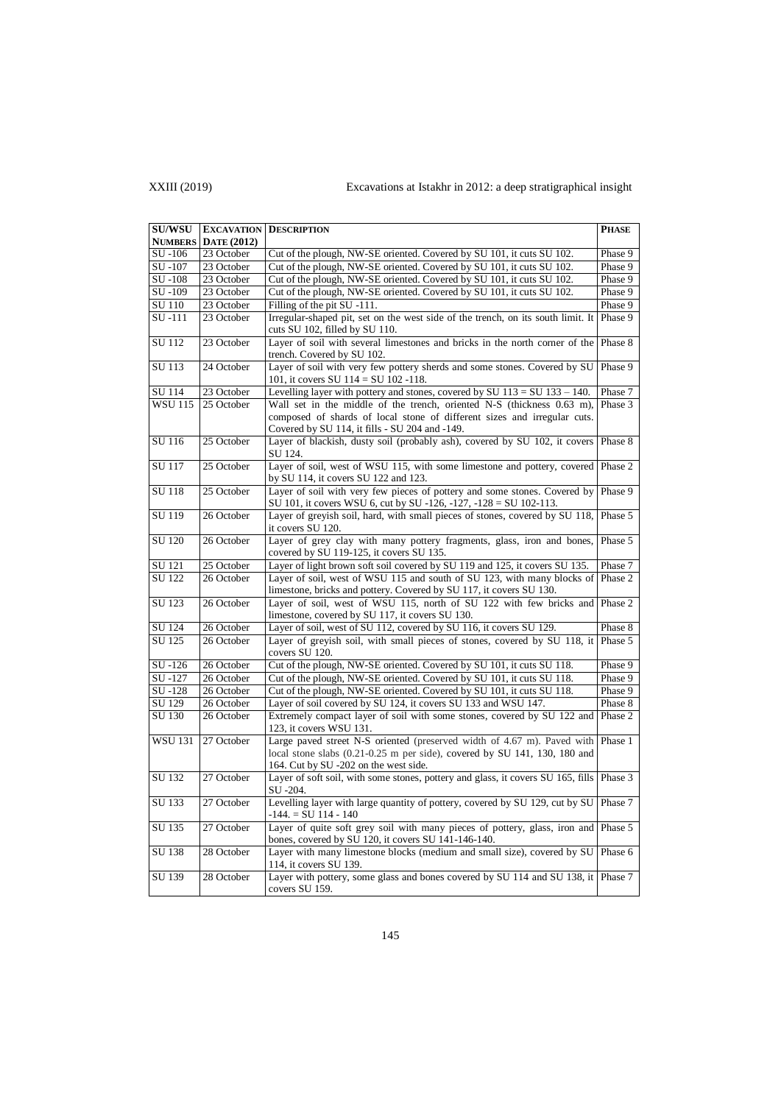## XXIII (2019) Excavations at Istakhr in 2012: a deep stratigraphical insight

| <b>SU/WSU</b>  |                    | <b>EXCAVATION DESCRIPTION</b>                                                                                                                        | <b>PHASE</b> |
|----------------|--------------------|------------------------------------------------------------------------------------------------------------------------------------------------------|--------------|
| <b>NUMBERS</b> | <b>DATE</b> (2012) |                                                                                                                                                      |              |
| SU-106         | 23 October         | Cut of the plough, NW-SE oriented. Covered by SU 101, it cuts SU 102.                                                                                | Phase 9      |
| SU-107         | 23 October         | Cut of the plough, NW-SE oriented. Covered by SU 101, it cuts SU 102.                                                                                | Phase 9      |
| SU-108         | 23 October         | Cut of the plough, NW-SE oriented. Covered by SU 101, it cuts SU 102.                                                                                | Phase 9      |
| SU-109         | 23 October         | Cut of the plough, NW-SE oriented. Covered by SU 101, it cuts SU 102.                                                                                | Phase 9      |
| SU 110         | 23 October         | Filling of the pit SU -111.                                                                                                                          | Phase 9      |
| SU-111         | 23 October         | Irregular-shaped pit, set on the west side of the trench, on its south limit. It Phase 9                                                             |              |
|                |                    | cuts SU 102, filled by SU 110.                                                                                                                       |              |
| SU 112         | 23 October         | Layer of soil with several limestones and bricks in the north corner of the<br>trench. Covered by SU 102.                                            | Phase 8      |
| SU 113         | 24 October         | Layer of soil with very few pottery sherds and some stones. Covered by SU<br>101, it covers SU $114 = SU 102 -118$ .                                 | Phase 9      |
| SU 114         | 23 October         | Levelling layer with pottery and stones, covered by SU $113 = SU$ $133 - 140$ .                                                                      | Phase 7      |
| <b>WSU 115</b> | 25 October         | Wall set in the middle of the trench, oriented N-S (thickness 0.63 m),                                                                               | Phase 3      |
|                |                    | composed of shards of local stone of different sizes and irregular cuts.                                                                             |              |
|                |                    | Covered by SU 114, it fills - SU 204 and -149.                                                                                                       |              |
| SU 116         | 25 October         | Layer of blackish, dusty soil (probably ash), covered by SU 102, it covers<br>SU 124.                                                                | Phase 8      |
| <b>SU 117</b>  | 25 October         | Layer of soil, west of WSU 115, with some limestone and pottery, covered<br>by SU 114, it covers SU 122 and 123.                                     | Phase 2      |
| SU 118         | 25 October         | Layer of soil with very few pieces of pottery and some stones. Covered by<br>SU 101, it covers WSU 6, cut by SU -126, -127, -128 = SU 102-113.       | Phase 9      |
| <b>SU 119</b>  | 26 October         | Layer of greyish soil, hard, with small pieces of stones, covered by SU 118,<br>it covers SU 120.                                                    | Phase 5      |
| SU 120         | 26 October         | Layer of grey clay with many pottery fragments, glass, iron and bones,<br>covered by SU 119-125, it covers SU 135.                                   | Phase 5      |
| SU 121         | 25 October         | Layer of light brown soft soil covered by SU 119 and 125, it covers SU 135.                                                                          | Phase 7      |
| <b>SU 122</b>  | 26 October         | Layer of soil, west of WSU 115 and south of SU 123, with many blocks of                                                                              | Phase 2      |
|                |                    | limestone, bricks and pottery. Covered by SU 117, it covers SU 130.                                                                                  |              |
| SU 123         | 26 October         | Layer of soil, west of WSU 115, north of SU 122 with few bricks and                                                                                  | Phase 2      |
|                |                    | limestone, covered by SU 117, it covers SU 130.                                                                                                      |              |
| SU 124         | 26 October         | Layer of soil, west of SU 112, covered by SU 116, it covers SU 129.                                                                                  | Phase 8      |
| SU 125         | 26 October         | Layer of greyish soil, with small pieces of stones, covered by SU 118, it Phase 5<br>covers SU 120.                                                  |              |
| SU-126         | 26 October         | Cut of the plough, NW-SE oriented. Covered by SU 101, it cuts SU 118.                                                                                | Phase 9      |
| SU-127         | 26 October         | Cut of the plough, NW-SE oriented. Covered by SU 101, it cuts SU 118.                                                                                | Phase 9      |
| SU-128         | 26 October         | Cut of the plough, NW-SE oriented. Covered by SU 101, it cuts SU 118.                                                                                | Phase 9      |
| SU 129         | 26 October         | Layer of soil covered by SU 124, it covers SU 133 and WSU 147.                                                                                       | Phase 8      |
| SU 130         | 26 October         | Extremely compact layer of soil with some stones, covered by SU 122 and<br>123, it covers WSU 131.                                                   | Phase 2      |
| <b>WSU 131</b> | 27 October         | Large paved street N-S oriented (preserved width of 4.67 m). Paved with<br>local stone slabs (0.21-0.25 m per side), covered by SU 141, 130, 180 and | Phase 1      |
|                |                    | 164. Cut by SU -202 on the west side.                                                                                                                |              |
| SU 132         | 27 October         | Layer of soft soil, with some stones, pottery and glass, it covers SU 165, fills Phase 3                                                             |              |
|                |                    | SU -204.                                                                                                                                             |              |
| SU 133         | 27 October         | Levelling layer with large quantity of pottery, covered by SU 129, cut by SU<br>$-144. = SU 114 - 140$                                               | Phase 7      |
| SU 135         | 27 October         | Layer of quite soft grey soil with many pieces of pottery, glass, iron and<br>bones, covered by SU 120, it covers SU 141-146-140.                    | Phase 5      |
| SU 138         | 28 October         | Layer with many limestone blocks (medium and small size), covered by SU<br>114, it covers SU 139.                                                    | Phase 6      |
| SU 139         | 28 October         | Layer with pottery, some glass and bones covered by SU 114 and SU 138, it<br>covers SU 159.                                                          | Phase 7      |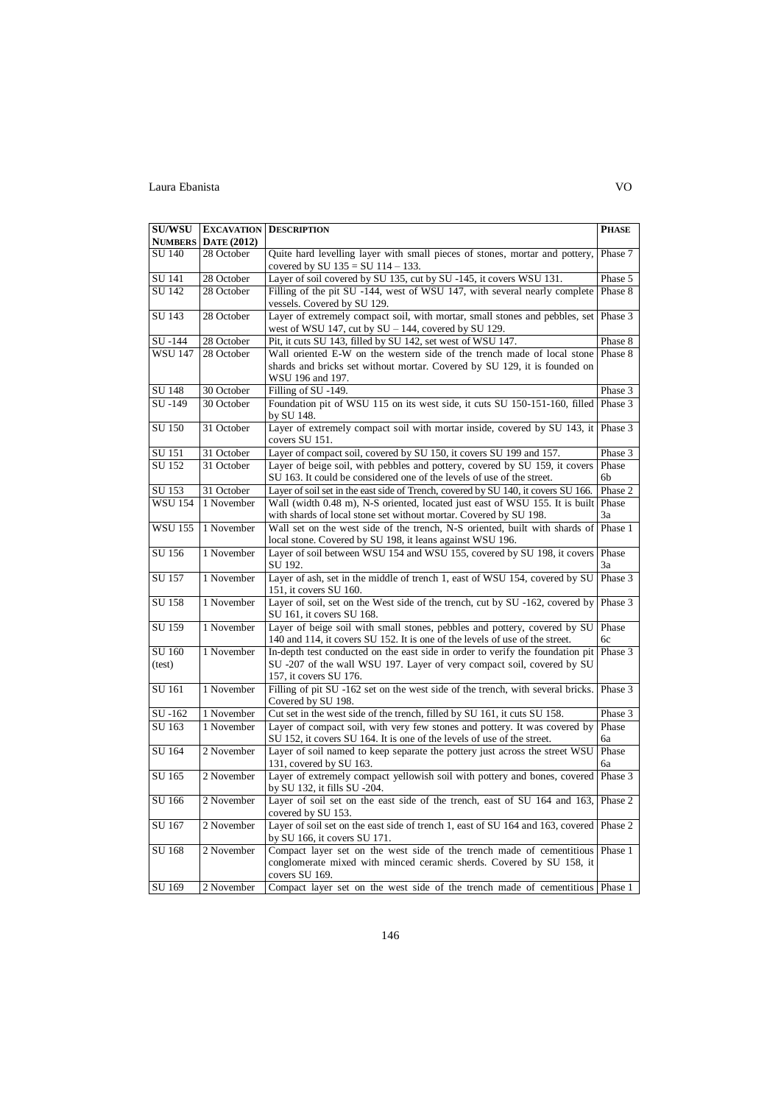| <b>SU/WSU</b>  |                            | <b>EXCAVATION DESCRIPTION</b>                                                                                       | PHASE   |
|----------------|----------------------------|---------------------------------------------------------------------------------------------------------------------|---------|
|                | <b>NUMBERS</b> DATE (2012) |                                                                                                                     |         |
| SU 140         | 28 October                 | Quite hard levelling layer with small pieces of stones, mortar and pottery,<br>covered by SU $135 = SU 114 - 133$ . | Phase 7 |
| SU 141         | 28 October                 | Layer of soil covered by SU 135, cut by SU -145, it covers WSU 131.                                                 | Phase 5 |
| SU 142         | 28 October                 | Filling of the pit SU -144, west of WSU 147, with several nearly complete                                           | Phase 8 |
|                |                            | vessels. Covered by SU 129.                                                                                         |         |
| SU 143         | 28 October                 | Layer of extremely compact soil, with mortar, small stones and pebbles, set                                         | Phase 3 |
|                |                            | west of WSU 147, cut by $SU - 144$ , covered by SU 129.                                                             |         |
| SU -144        | 28 October                 | Pit, it cuts SU 143, filled by SU 142, set west of WSU 147.                                                         | Phase 8 |
| <b>WSU 147</b> | 28 October                 | Wall oriented E-W on the western side of the trench made of local stone                                             | Phase 8 |
|                |                            | shards and bricks set without mortar. Covered by SU 129, it is founded on                                           |         |
| SU 148         | 30 October                 | WSU 196 and 197.<br>Filling of SU -149.                                                                             |         |
| SU-149         | 30 October                 | Foundation pit of WSU 115 on its west side, it cuts SU 150-151-160, filled Phase 3                                  | Phase 3 |
|                |                            | by SU 148.                                                                                                          |         |
| SU 150         | 31 October                 | Layer of extremely compact soil with mortar inside, covered by SU 143, it<br>covers SU 151.                         | Phase 3 |
| SU 151         | 31 October                 | Layer of compact soil, covered by SU 150, it covers SU 199 and 157.                                                 | Phase 3 |
| SU 152         | 31 October                 | Layer of beige soil, with pebbles and pottery, covered by SU 159, it covers                                         | Phase   |
|                |                            | SU 163. It could be considered one of the levels of use of the street.                                              | 6b      |
| SU 153         | 31 October                 | Layer of soil set in the east side of Trench, covered by SU 140, it covers SU 166.                                  | Phase 2 |
| <b>WSU 154</b> | 1 November                 | Wall (width 0.48 m), N-S oriented, located just east of WSU 155. It is built                                        | Phase   |
|                |                            | with shards of local stone set without mortar. Covered by SU 198.                                                   | 3a      |
| <b>WSU 155</b> | 1 November                 | Wall set on the west side of the trench, N-S oriented, built with shards of                                         | Phase 1 |
|                |                            | local stone. Covered by SU 198, it leans against WSU 196.                                                           | Phase   |
| SU 156         | 1 November                 | Layer of soil between WSU 154 and WSU 155, covered by SU 198, it covers<br>SU 192.                                  | 3a      |
| <b>SU 157</b>  | 1 November                 | Layer of ash, set in the middle of trench 1, east of WSU 154, covered by SU                                         | Phase 3 |
|                |                            | 151, it covers SU 160.                                                                                              |         |
| SU 158         | 1 November                 | Layer of soil, set on the West side of the trench, cut by SU -162, covered by                                       | Phase 3 |
|                |                            | SU 161, it covers SU 168.                                                                                           |         |
| SU 159         | 1 November                 | Layer of beige soil with small stones, pebbles and pottery, covered by SU                                           | Phase   |
|                |                            | 140 and 114, it covers SU 152. It is one of the levels of use of the street.                                        | 6c      |
| SU 160         | 1 November                 | In-depth test conducted on the east side in order to verify the foundation pit                                      | Phase 3 |
| (test)         |                            | SU -207 of the wall WSU 197. Layer of very compact soil, covered by SU<br>157, it covers SU 176.                    |         |
| SU 161         | 1 November                 | Filling of pit SU -162 set on the west side of the trench, with several bricks.                                     | Phase 3 |
|                |                            | Covered by SU 198.                                                                                                  |         |
| SU-162         | 1 November                 | Cut set in the west side of the trench, filled by SU 161, it cuts SU 158.                                           | Phase 3 |
| SU 163         | 1 November                 | Layer of compact soil, with very few stones and pottery. It was covered by                                          | Phase   |
|                |                            | SU 152, it covers SU 164. It is one of the levels of use of the street.                                             | 6a      |
| SU 164         | 2 November                 | Layer of soil named to keep separate the pottery just across the street WSU                                         | Phase   |
|                |                            | 131, covered by SU 163.                                                                                             | 6a      |
| SU 165         | 2 November                 | Layer of extremely compact yellowish soil with pottery and bones, covered                                           | Phase 3 |
|                |                            | by SU 132, it fills SU -204.                                                                                        |         |
| SU 166         | 2 November                 | Layer of soil set on the east side of the trench, east of SU 164 and 163,<br>covered by SU 153.                     | Phase 2 |
| SU 167         | 2 November                 | Layer of soil set on the east side of trench 1, east of SU 164 and 163, covered                                     | Phase 2 |
|                |                            | by SU $166$ , it covers SU $171$ .                                                                                  |         |
| SU 168         | 2 November                 | Compact layer set on the west side of the trench made of cementitious                                               | Phase 1 |
|                |                            | conglomerate mixed with minced ceramic sherds. Covered by SU 158, it<br>covers SU 169.                              |         |
| SU 169         | 2 November                 | Compact layer set on the west side of the trench made of cementitious Phase 1                                       |         |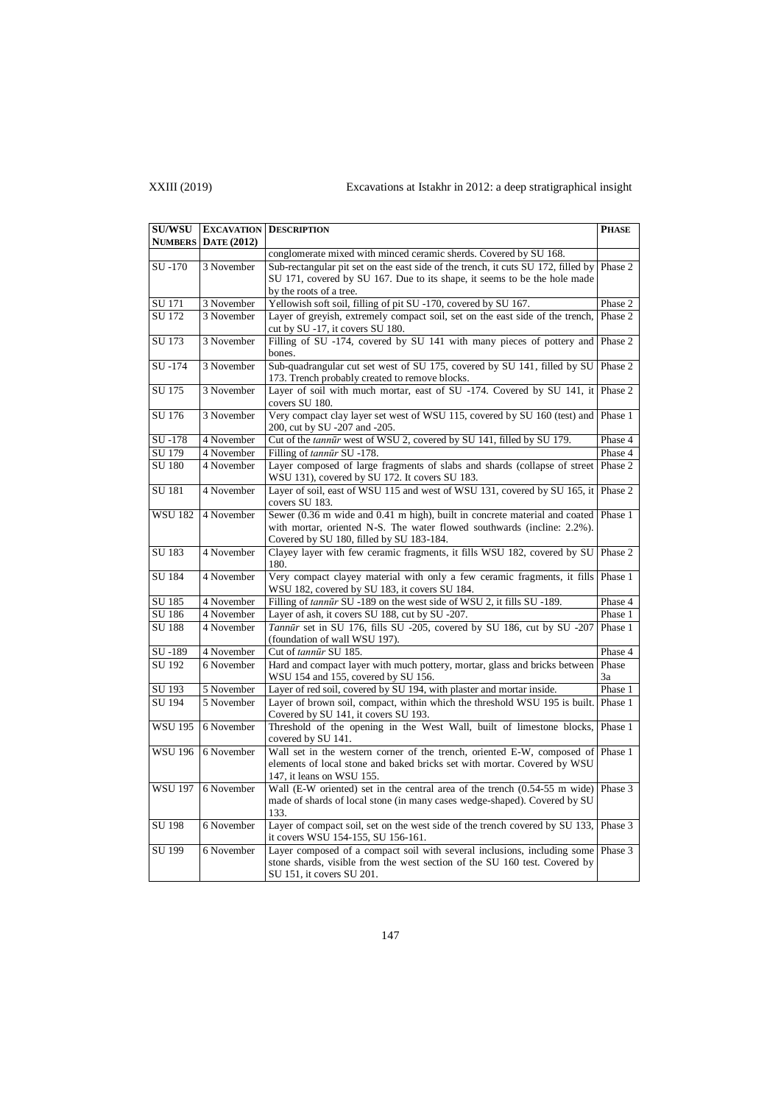# XXIII (2019) Excavations at Istakhr in 2012: a deep stratigraphical insight

| <b>SU/WSU</b>  |                         | <b>EXCAVATION DESCRIPTION</b>                                                                                               | <b>PHASE</b> |
|----------------|-------------------------|-----------------------------------------------------------------------------------------------------------------------------|--------------|
| <b>NUMBERS</b> | <b>DATE</b> (2012)      |                                                                                                                             |              |
|                |                         | conglomerate mixed with minced ceramic sherds. Covered by SU 168.                                                           |              |
| SU-170         | 3 November              | Sub-rectangular pit set on the east side of the trench, it cuts SU 172, filled by                                           | Phase 2      |
|                |                         | SU 171, covered by SU 167. Due to its shape, it seems to be the hole made                                                   |              |
|                |                         | by the roots of a tree.                                                                                                     |              |
| SU 171         | 3 November              | Yellowish soft soil, filling of pit SU -170, covered by SU 167.                                                             | Phase 2      |
| SU 172         | 3 November              | Layer of greyish, extremely compact soil, set on the east side of the trench,                                               | Phase 2      |
|                |                         | cut by SU -17, it covers SU 180.                                                                                            |              |
| SU 173         | 3 November              | Filling of SU -174, covered by SU 141 with many pieces of pottery and                                                       | Phase 2      |
|                |                         | bones.                                                                                                                      |              |
| SU-174         | 3 November              | Sub-quadrangular cut set west of SU 175, covered by SU 141, filled by SU                                                    | Phase 2      |
|                |                         | 173. Trench probably created to remove blocks.                                                                              |              |
| SU 175         | 3 November              | Layer of soil with much mortar, east of SU -174. Covered by SU 141, it<br>covers SU 180.                                    | Phase 2      |
| SU 176         | 3 November              | Very compact clay layer set west of WSU 115, covered by SU 160 (test) and                                                   | Phase 1      |
|                |                         | 200, cut by SU -207 and -205.                                                                                               |              |
| SU-178         | 4 November              | Cut of the tannūr west of WSU 2, covered by SU 141, filled by SU 179.                                                       | Phase 4      |
| SU 179         | 4 November              | Filling of tannur SU -178.                                                                                                  | Phase 4      |
| <b>SU 180</b>  | 4 November              | Layer composed of large fragments of slabs and shards (collapse of street<br>WSU 131), covered by SU 172. It covers SU 183. | Phase 2      |
| SU 181         | 4 November              | Layer of soil, east of WSU 115 and west of WSU 131, covered by SU 165, it                                                   | Phase 2      |
|                |                         | covers SU 183.                                                                                                              |              |
| <b>WSU 182</b> | 4 November              | Sewer (0.36 m wide and 0.41 m high), built in concrete material and coated                                                  | Phase 1      |
|                |                         | with mortar, oriented N-S. The water flowed southwards (incline: 2.2%).                                                     |              |
| SU 183         | 4 November              | Covered by SU 180, filled by SU 183-184.                                                                                    | Phase 2      |
|                |                         | Clayey layer with few ceramic fragments, it fills WSU 182, covered by SU<br>180.                                            |              |
| SU 184         | 4 November              | Very compact clayey material with only a few ceramic fragments, it fills                                                    | Phase 1      |
|                |                         | WSU 182, covered by SU 183, it covers SU 184.                                                                               |              |
| SU 185         | 4 November              | Filling of tannulr SU -189 on the west side of WSU 2, it fills SU -189.                                                     | Phase 4      |
| SU 186         | 4 November              | Layer of ash, it covers SU 188, cut by SU -207.                                                                             | Phase 1      |
| SU 188         | 4 November              | Tannūr set in SU 176, fills SU -205, covered by SU 186, cut by SU -207                                                      | Phase 1      |
|                |                         | (foundation of wall WSU 197).                                                                                               |              |
| SU-189         | $\overline{4}$ November | Cut of tannūr SU 185.                                                                                                       | Phase 4      |
| SU 192         | 6 November              | Hard and compact layer with much pottery, mortar, glass and bricks between                                                  | Phase        |
|                |                         | WSU 154 and 155, covered by SU 156.                                                                                         | 3a           |
| SU 193         | 5 November              | Layer of red soil, covered by SU 194, with plaster and mortar inside.                                                       | Phase 1      |
| SU 194         | 5 November              | Layer of brown soil, compact, within which the threshold WSU 195 is built.                                                  | Phase 1      |
|                |                         | Covered by SU 141, it covers SU 193.                                                                                        |              |
| <b>WSU 195</b> | 6 November              | Threshold of the opening in the West Wall, built of limestone blocks,                                                       | Phase 1      |
|                |                         | covered by SU 141.                                                                                                          |              |
| <b>WSU 196</b> | 6 November              | Wall set in the western corner of the trench, oriented E-W, composed of                                                     | Phase 1      |
|                |                         | elements of local stone and baked bricks set with mortar. Covered by WSU                                                    |              |
| <b>WSU 197</b> | 6 November              | 147, it leans on WSU 155.<br>Wall (E-W oriented) set in the central area of the trench (0.54-55 m wide)                     | Phase 3      |
|                |                         | made of shards of local stone (in many cases wedge-shaped). Covered by SU                                                   |              |
|                |                         | 133.                                                                                                                        |              |
| SU 198         | 6 November              | Layer of compact soil, set on the west side of the trench covered by SU 133,                                                | Phase 3      |
|                |                         | it covers WSU 154-155, SU 156-161.                                                                                          |              |
| SU 199         | 6 November              | Layer composed of a compact soil with several inclusions, including some                                                    | Phase 3      |
|                |                         | stone shards, visible from the west section of the SU 160 test. Covered by                                                  |              |
|                |                         | SU 151, it covers SU 201.                                                                                                   |              |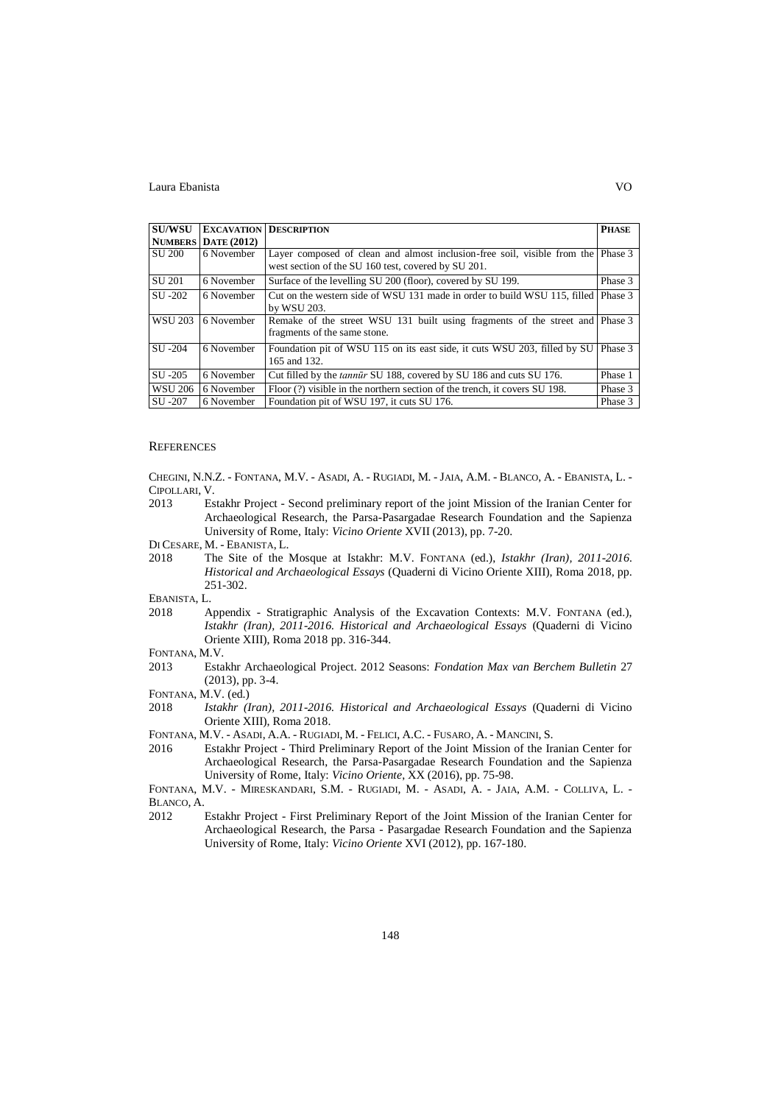| <b>SU/WSU</b>  |                     | <b>EXCAVATION DESCRIPTION</b>                                                                                                   | <b>PHASE</b> |
|----------------|---------------------|---------------------------------------------------------------------------------------------------------------------------------|--------------|
|                | NUMBERS DATE (2012) |                                                                                                                                 |              |
| SU 200         | 6 November          | Layer composed of clean and almost inclusion-free soil, visible from the<br>west section of the SU 160 test, covered by SU 201. | Phase 3      |
| SU 201         | 6 November          | Surface of the levelling SU 200 (floor), covered by SU 199.                                                                     | Phase 3      |
| SU -202        | 6 November          | Cut on the western side of WSU 131 made in order to build WSU 115, filled<br>by WSU 203.                                        | Phase 3      |
| <b>WSU 203</b> | 6 November          | Remake of the street WSU 131 built using fragments of the street and Phase 3<br>fragments of the same stone.                    |              |
| SU -204        | 6 November          | Foundation pit of WSU 115 on its east side, it cuts WSU 203, filled by SU<br>165 and 132.                                       | Phase 3      |
| SU -205        | 6 November          | Cut filled by the <i>tannur</i> SU 188, covered by SU 186 and cuts SU 176.                                                      | Phase 1      |
| <b>WSU 206</b> | 6 November          | Floor (?) visible in the northern section of the trench, it covers SU 198.                                                      | Phase 3      |
| SU -207        | 6 November          | Foundation pit of WSU 197, it cuts SU 176.                                                                                      | Phase 3      |

### **REFERENCES**

CHEGINI, N.N.Z. - FONTANA, M.V. - ASADI, A. - RUGIADI, M. - JAIA, A.M. - BLANCO, A. - EBANISTA, L. - CIPOLLARI, V.

- 2013 Estakhr Project Second preliminary report of the joint Mission of the Iranian Center for Archaeological Research, the Parsa-Pasargadae Research Foundation and the Sapienza University of Rome, Italy: *Vicino Oriente* XVII (2013), pp. 7-20.
- DI CESARE, M. EBANISTA, L.
- 2018 The Site of the Mosque at Istakhr: M.V. FONTANA (ed.), *Istakhr (Iran), 2011-2016. Historical and Archaeological Essays* (Quaderni di Vicino Oriente XIII), Roma 2018, pp. 251-302.

EBANISTA, L.

- 2018 Appendix Stratigraphic Analysis of the Excavation Contexts: M.V. FONTANA (ed.), *Istakhr (Iran), 2011-2016. Historical and Archaeological Essays* (Quaderni di Vicino Oriente XIII), Roma 2018 pp. 316-344.
- FONTANA, M.V.
- 2013 Estakhr Archaeological Project. 2012 Seasons: *Fondation Max van Berchem Bulletin* 27 (2013), pp. 3-4.
- FONTANA, M.V. (ed.)
- 2018 *Istakhr (Iran), 2011-2016. Historical and Archaeological Essays* (Quaderni di Vicino Oriente XIII), Roma 2018.
- FONTANA, M.V. ASADI, A.A. RUGIADI, M. FELICI, A.C. FUSARO, A. MANCINI, S.
- 2016 Estakhr Project Third Preliminary Report of the Joint Mission of the Iranian Center for Archaeological Research, the Parsa-Pasargadae Research Foundation and the Sapienza University of Rome, Italy: *Vicino Oriente*, XX (2016), pp. 75-98.

2012 Estakhr Project - First Preliminary Report of the Joint Mission of the Iranian Center for Archaeological Research, the Parsa - Pasargadae Research Foundation and the Sapienza University of Rome, Italy: *Vicino Oriente* XVI (2012), pp. 167-180.

FONTANA, M.V. - MIRESKANDARI, S.M. - RUGIADI, M. - ASADI, A. - JAIA, A.M. - COLLIVA, L. - BLANCO, A.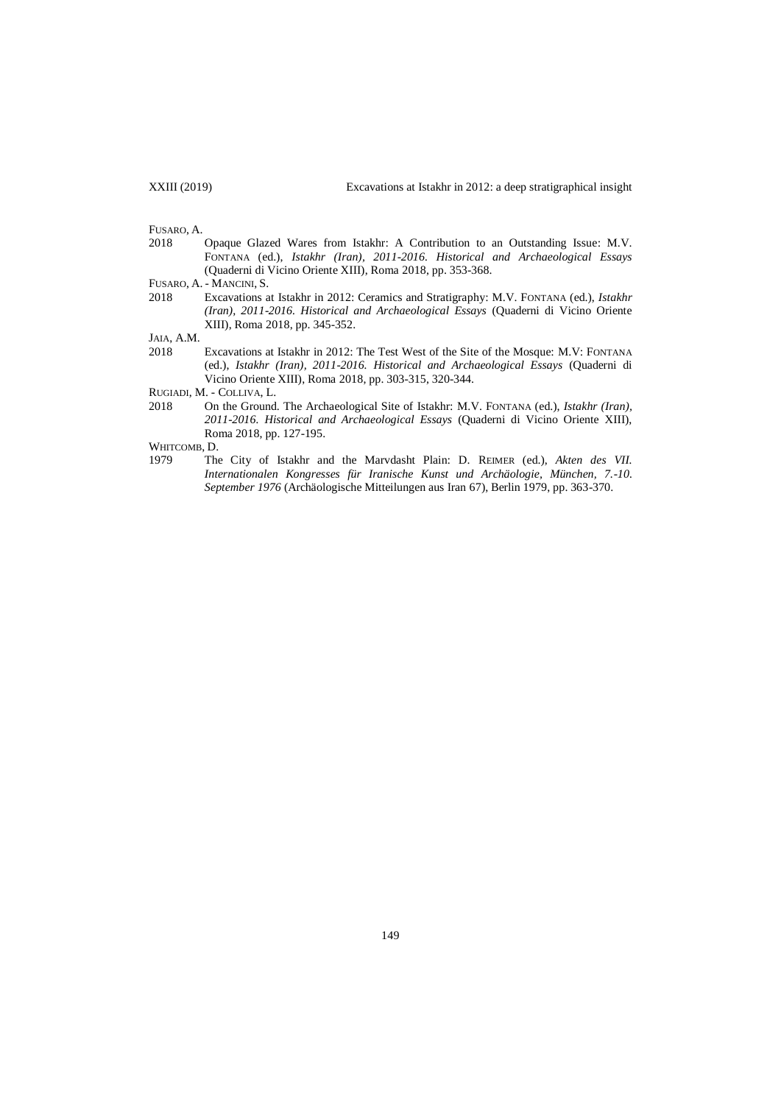FUSARO, A. 2018 Opaque Glazed Wares from Istakhr: A Contribution to an Outstanding Issue: M.V. FONTANA (ed.), *Istakhr (Iran), 2011-2016. Historical and Archaeological Essays* (Quaderni di Vicino Oriente XIII), Roma 2018, pp. 353-368.

2018 Excavations at Istakhr in 2012: Ceramics and Stratigraphy: M.V. FONTANA (ed.), *Istakhr (Iran), 2011-2016. Historical and Archaeological Essays* (Quaderni di Vicino Oriente XIII), Roma 2018, pp. 345-352.

JAIA, A.M.

2018 Excavations at Istakhr in 2012: The Test West of the Site of the Mosque: M.V: FONTANA (ed.), *Istakhr (Iran), 2011-2016. Historical and Archaeological Essays* (Quaderni di Vicino Oriente XIII), Roma 2018, pp. 303-315, 320-344.

RUGIADI, M. - COLLIVA, L.

2018 On the Ground. The Archaeological Site of Istakhr: M.V. FONTANA (ed.), *Istakhr (Iran), 2011-2016. Historical and Archaeological Essays* (Quaderni di Vicino Oriente XIII), Roma 2018, pp. 127-195.

WHITCOMB, D.

1979 The City of Istakhr and the Marvdasht Plain: D. REIMER (ed.), *Akten des VII. Internationalen Kongresses für Iranische Kunst und Archäologie, München, 7.-10. September 1976* (Archäologische Mitteilungen aus Iran 67), Berlin 1979, pp. 363-370.

FUSARO, A. - MANCINI, S.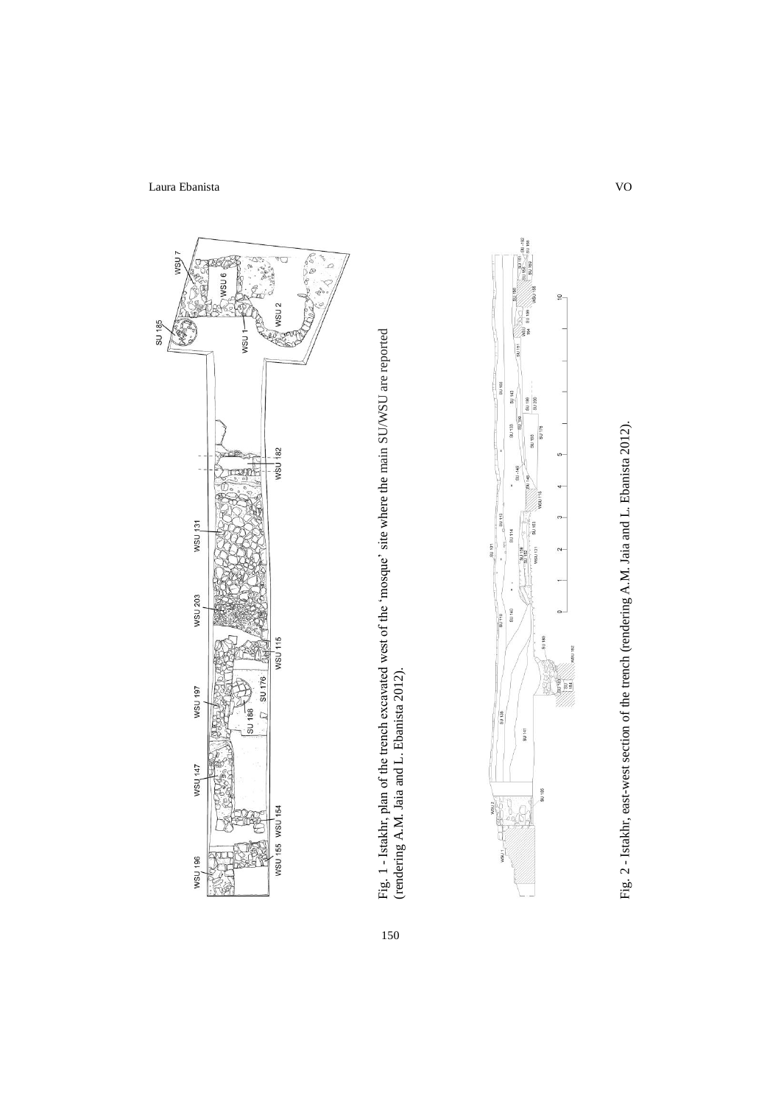

Fig. 1 - Istakhr, plan of the trench excavated west of the 'mosque' site where the main SU/WSU are reported<br>(rendering A.M. Jaia and L. Ebanista 2012). Fig. 1 - Istakhr, plan of the trench excavated west of the 'mosque' site where the main SU/WSU are reported (rendering A.M. Jaia and L. Ebanista 2012).

150



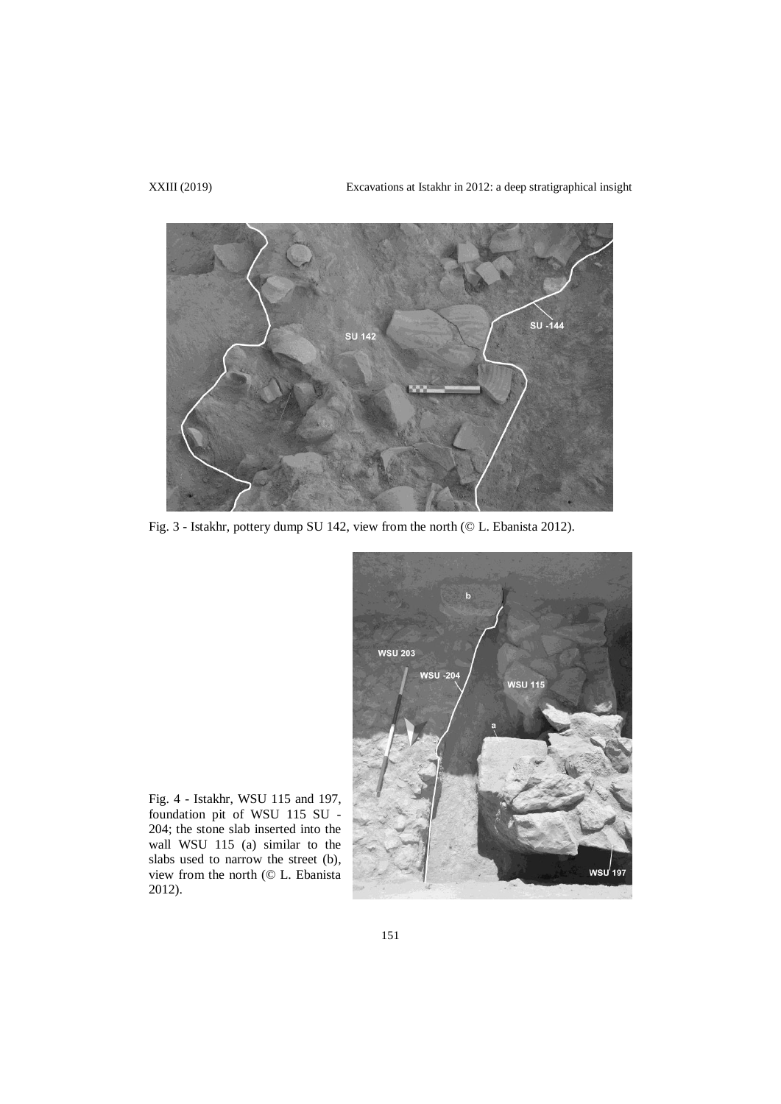XXIII (2019) Excavations at Istakhr in 2012: a deep stratigraphical insight



Fig. 3 - Istakhr, pottery dump SU 142, view from the north (© L. Ebanista 2012).



Fig. 4 - Istakhr, WSU 115 and 197, foundation pit of WSU 115 SU - 204; the stone slab inserted into the wall WSU 115 (a) similar to the slabs used to narrow the street (b), view from the north (© L. Ebanista 2012).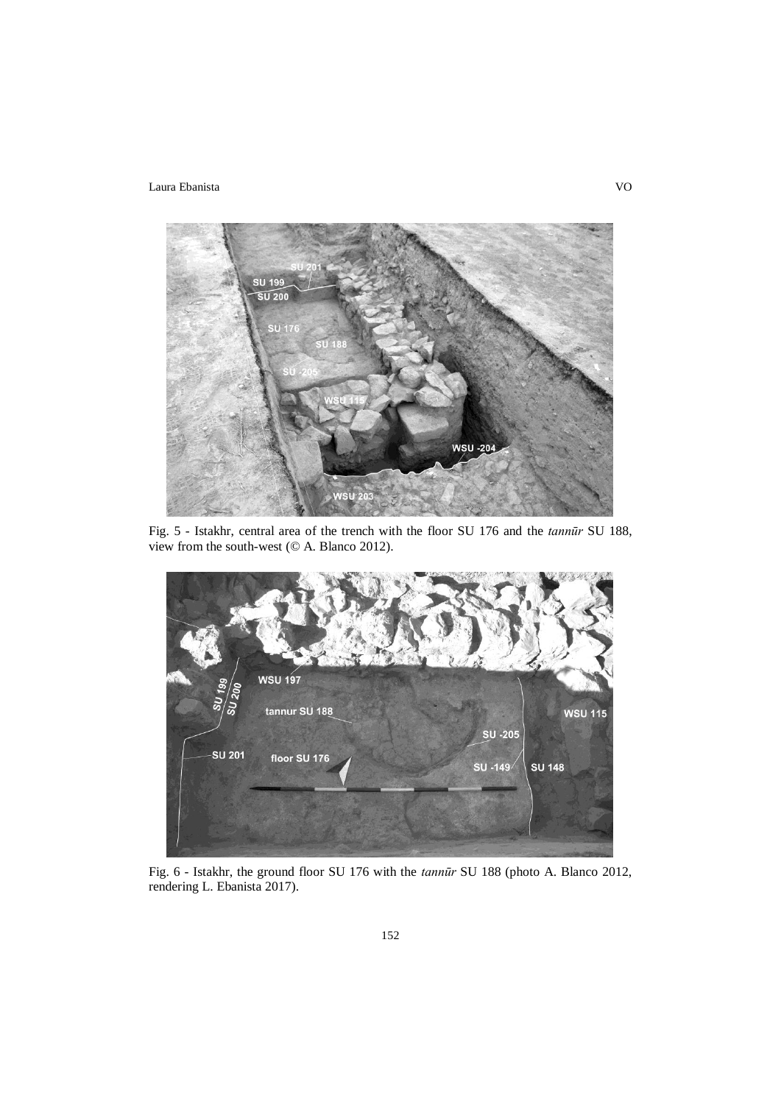

Fig. 5 - Istakhr, central area of the trench with the floor SU 176 and the *tannūr* SU 188, view from the south-west (© A. Blanco 2012).



Fig. 6 - Istakhr, the ground floor SU 176 with the *tannūr* SU 188 (photo A. Blanco 2012, rendering L. Ebanista 2017).